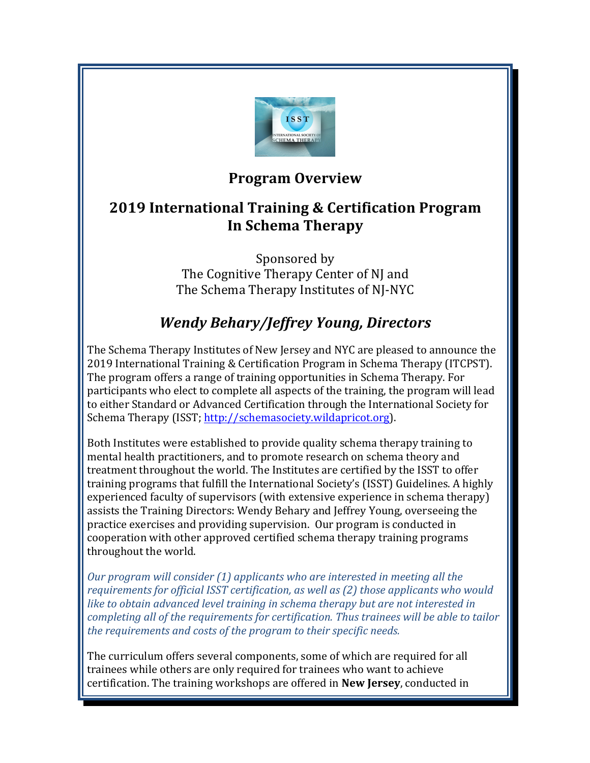

## **Program Overview**

### **2019 International Training & Certification Program In Schema Therapy**

Sponsored by The Cognitive Therapy Center of NJ and The Schema Therapy Institutes of NJ-NYC

# *Wendy Behary/Jeffrey Young, Directors*

The Schema Therapy Institutes of New Jersey and NYC are pleased to announce the 2019 International Training & Certification Program in Schema Therapy (ITCPST). The program offers a range of training opportunities in Schema Therapy. For participants who elect to complete all aspects of the training, the program will lead to either Standard or Advanced Certification through the International Society for Schema Therapy (ISST; http://schemasociety.wildapricot.org).

Both Institutes were established to provide quality schema therapy training to mental health practitioners, and to promote research on schema theory and treatment throughout the world. The Institutes are certified by the ISST to offer training programs that fulfill the International Society's (ISST) Guidelines. A highly experienced faculty of supervisors (with extensive experience in schema therapy) assists the Training Directors: Wendy Behary and Jeffrey Young, overseeing the practice exercises and providing supervision. Our program is conducted in cooperation with other approved certified schema therapy training programs throughout the world.

*Our program will consider* (1) applicants who are interested in meeting all the *requirements for official ISST certification, as well as (2) those applicants who would like* to obtain advanced level training in schema therapy but are not interested in *completing all of the requirements for certification. Thus trainees will be able to tailor the requirements and costs of the program to their specific needs.* 

The curriculum offers several components, some of which are required for all trainees while others are only required for trainees who want to achieve certification. The training workshops are offered in **New Jersey**, conducted in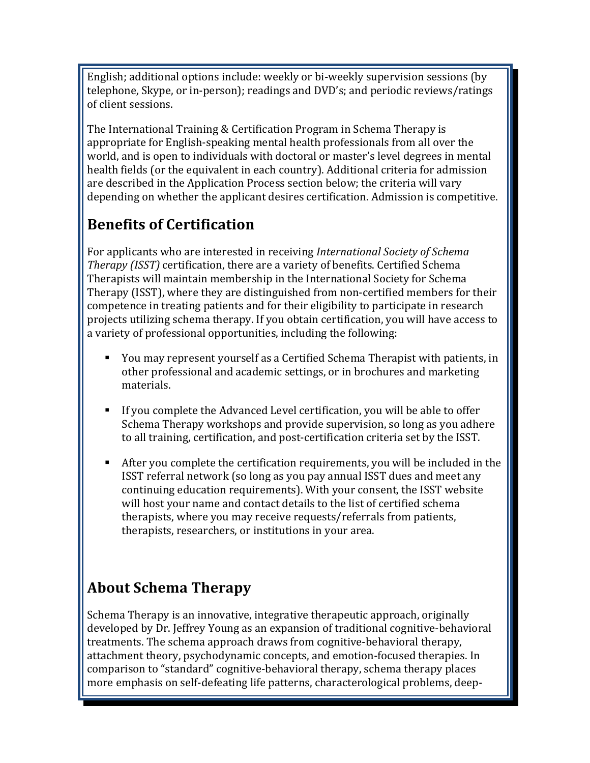English; additional options include: weekly or bi-weekly supervision sessions (by telephone, Skype, or in-person); readings and DVD's; and periodic reviews/ratings of client sessions.

The International Training & Certification Program in Schema Therapy is appropriate for English-speaking mental health professionals from all over the world, and is open to individuals with doctoral or master's level degrees in mental health fields (or the equivalent in each country). Additional criteria for admission are described in the Application Process section below; the criteria will vary depending on whether the applicant desires certification. Admission is competitive.

## **Benefits of Certification**

For applicants who are interested in receiving *International Society of Schema Therapy (ISST)* certification, there are a variety of benefits. Certified Schema Therapists will maintain membership in the International Society for Schema Therapy (ISST), where they are distinguished from non-certified members for their competence in treating patients and for their eligibility to participate in research projects utilizing schema therapy. If you obtain certification, you will have access to a variety of professional opportunities, including the following:

- You may represent yourself as a Certified Schema Therapist with patients, in other professional and academic settings, or in brochures and marketing materials.
- If you complete the Advanced Level certification, you will be able to offer Schema Therapy workshops and provide supervision, so long as you adhere to all training, certification, and post-certification criteria set by the ISST.
- After you complete the certification requirements, you will be included in the ISST referral network (so long as you pay annual ISST dues and meet any continuing education requirements). With your consent, the ISST website will host your name and contact details to the list of certified schema therapists, where you may receive requests/referrals from patients, therapists, researchers, or institutions in your area.

# **About Schema Therapy**

Schema Therapy is an innovative, integrative therapeutic approach, originally developed by Dr. Jeffrey Young as an expansion of traditional cognitive-behavioral treatments. The schema approach draws from cognitive-behavioral therapy, attachment theory, psychodynamic concepts, and emotion-focused therapies. In comparison to "standard" cognitive-behavioral therapy, schema therapy places more emphasis on self-defeating life patterns, characterological problems, deep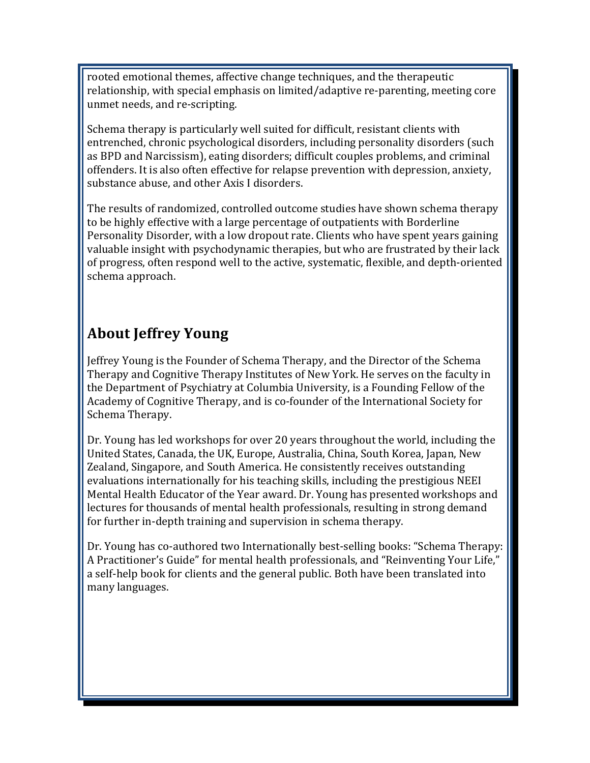rooted emotional themes, affective change techniques, and the therapeutic relationship, with special emphasis on limited/adaptive re-parenting, meeting core unmet needs, and re-scripting.

Schema therapy is particularly well suited for difficult, resistant clients with entrenched, chronic psychological disorders, including personality disorders (such as BPD and Narcissism), eating disorders; difficult couples problems, and criminal offenders. It is also often effective for relapse prevention with depression, anxiety, substance abuse, and other Axis I disorders.

The results of randomized, controlled outcome studies have shown schema therapy to be highly effective with a large percentage of outpatients with Borderline Personality Disorder, with a low dropout rate. Clients who have spent years gaining valuable insight with psychodynamic therapies, but who are frustrated by their lack of progress, often respond well to the active, systematic, flexible, and depth-oriented schema approach.

## **About Jeffrey Young**

Jeffrey Young is the Founder of Schema Therapy, and the Director of the Schema Therapy and Cognitive Therapy Institutes of New York. He serves on the faculty in the Department of Psychiatry at Columbia University, is a Founding Fellow of the Academy of Cognitive Therapy, and is co-founder of the International Society for Schema Therapy.

Dr. Young has led workshops for over 20 years throughout the world, including the United States, Canada, the UK, Europe, Australia, China, South Korea, Japan, New Zealand, Singapore, and South America. He consistently receives outstanding evaluations internationally for his teaching skills, including the prestigious NEEI Mental Health Educator of the Year award. Dr. Young has presented workshops and lectures for thousands of mental health professionals, resulting in strong demand for further in-depth training and supervision in schema therapy.

Dr. Young has co-authored two Internationally best-selling books: "Schema Therapy: A Practitioner's Guide" for mental health professionals, and "Reinventing Your Life," a self-help book for clients and the general public. Both have been translated into many languages.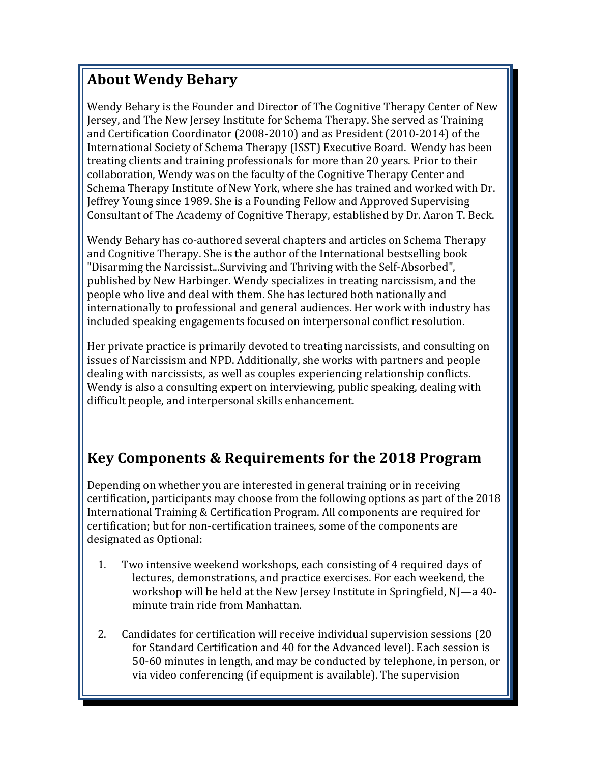## **About Wendy Behary**

Wendy Behary is the Founder and Director of The Cognitive Therapy Center of New Jersey, and The New Jersey Institute for Schema Therapy. She served as Training and Certification Coordinator (2008-2010) and as President (2010-2014) of the International Society of Schema Therapy (ISST) Executive Board. Wendy has been treating clients and training professionals for more than 20 years. Prior to their collaboration, Wendy was on the faculty of the Cognitive Therapy Center and Schema Therapy Institute of New York, where she has trained and worked with Dr. Jeffrey Young since 1989. She is a Founding Fellow and Approved Supervising Consultant of The Academy of Cognitive Therapy, established by Dr. Aaron T. Beck.

Wendy Behary has co-authored several chapters and articles on Schema Therapy and Cognitive Therapy. She is the author of the International bestselling book "Disarming the Narcissist...Surviving and Thriving with the Self-Absorbed", published by New Harbinger. Wendy specializes in treating narcissism, and the people who live and deal with them. She has lectured both nationally and internationally to professional and general audiences. Her work with industry has included speaking engagements focused on interpersonal conflict resolution.

Her private practice is primarily devoted to treating narcissists, and consulting on issues of Narcissism and NPD. Additionally, she works with partners and people dealing with narcissists, as well as couples experiencing relationship conflicts. Wendy is also a consulting expert on interviewing, public speaking, dealing with difficult people, and interpersonal skills enhancement.

## **Key Components & Requirements for the 2018 Program**

Depending on whether you are interested in general training or in receiving certification, participants may choose from the following options as part of the 2018 International Training & Certification Program. All components are required for certification; but for non-certification trainees, some of the components are designated as Optional:

- 1. Two intensive weekend workshops, each consisting of 4 required days of lectures, demonstrations, and practice exercises. For each weekend, the workshop will be held at the New Jersey Institute in Springfield,  $NI$ —a 40minute train ride from Manhattan.
- 2. Candidates for certification will receive individual supervision sessions (20 for Standard Certification and 40 for the Advanced level). Each session is 50-60 minutes in length, and may be conducted by telephone, in person, or via video conferencing (if equipment is available). The supervision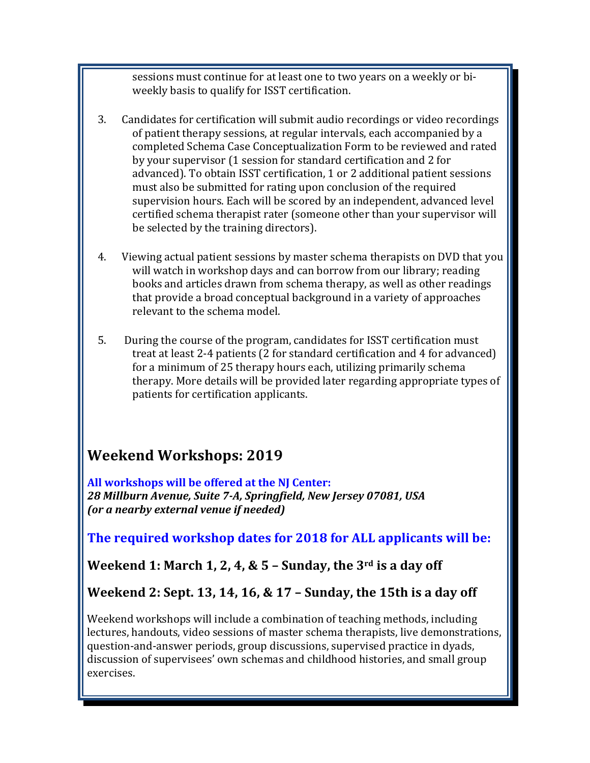sessions must continue for at least one to two years on a weekly or biweekly basis to qualify for ISST certification.

- 3. Candidates for certification will submit audio recordings or video recordings of patient therapy sessions, at regular intervals, each accompanied by a completed Schema Case Conceptualization Form to be reviewed and rated by your supervisor (1 session for standard certification and 2 for advanced). To obtain ISST certification, 1 or 2 additional patient sessions must also be submitted for rating upon conclusion of the required supervision hours. Each will be scored by an independent, advanced level certified schema therapist rater (someone other than your supervisor will be selected by the training directors).
- 4. Viewing actual patient sessions by master schema therapists on DVD that you will watch in workshop days and can borrow from our library; reading books and articles drawn from schema therapy, as well as other readings that provide a broad conceptual background in a variety of approaches relevant to the schema model.
- 5. During the course of the program, candidates for ISST certification must treat at least 2-4 patients (2 for standard certification and 4 for advanced) for a minimum of 25 therapy hours each, utilizing primarily schema therapy. More details will be provided later regarding appropriate types of patients for certification applicants.

## **Weekend Workshops: 2019**

All workshops will be offered at the NJ Center: 28 Millburn Avenue, Suite 7-A, Springfield, New Jersey 07081, USA *(or a nearby external venue if needed)* 

The required workshop dates for 2018 for ALL applicants will be:

**Weekend 1:** March 1, 2, 4, & 5 – Sunday, the  $3^{rd}$  is a day off

**Weekend 2: Sept. 13, 14, 16, & 17 – Sunday, the 15th is a day off** 

Weekend workshops will include a combination of teaching methods, including lectures, handouts, video sessions of master schema therapists, live demonstrations, question-and-answer periods, group discussions, supervised practice in dyads, discussion of supervisees' own schemas and childhood histories, and small group exercises.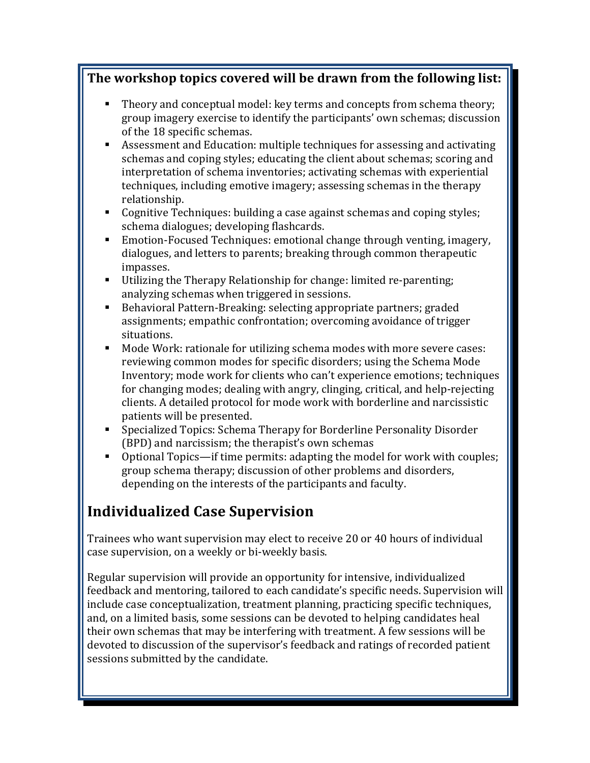### The workshop topics covered will be drawn from the following list:

- Theory and conceptual model: key terms and concepts from schema theory; group imagery exercise to identify the participants' own schemas; discussion of the 18 specific schemas.
- Assessment and Education: multiple techniques for assessing and activating schemas and coping styles; educating the client about schemas; scoring and interpretation of schema inventories; activating schemas with experiential techniques, including emotive imagery; assessing schemas in the therapy relationship.
- Cognitive Techniques: building a case against schemas and coping styles; schema dialogues; developing flashcards.
- Emotion-Focused Techniques: emotional change through venting, imagery, dialogues, and letters to parents; breaking through common therapeutic impasses.
- Utilizing the Therapy Relationship for change: limited re-parenting; analyzing schemas when triggered in sessions.
- Behavioral Pattern-Breaking: selecting appropriate partners; graded assignments; empathic confrontation; overcoming avoidance of trigger situations.
- Mode Work: rationale for utilizing schema modes with more severe cases: reviewing common modes for specific disorders; using the Schema Mode Inventory; mode work for clients who can't experience emotions; techniques for changing modes; dealing with angry, clinging, critical, and help-rejecting clients. A detailed protocol for mode work with borderline and narcissistic patients will be presented.
- Specialized Topics: Schema Therapy for Borderline Personality Disorder (BPD) and narcissism; the therapist's own schemas
- Optional Topics—if time permits: adapting the model for work with couples; group schema therapy; discussion of other problems and disorders, depending on the interests of the participants and faculty.

## **Individualized Case Supervision**

Trainees who want supervision may elect to receive 20 or 40 hours of individual case supervision, on a weekly or bi-weekly basis.

Regular supervision will provide an opportunity for intensive, individualized feedback and mentoring, tailored to each candidate's specific needs. Supervision will include case conceptualization, treatment planning, practicing specific techniques, and, on a limited basis, some sessions can be devoted to helping candidates heal their own schemas that may be interfering with treatment. A few sessions will be devoted to discussion of the supervisor's feedback and ratings of recorded patient sessions submitted by the candidate.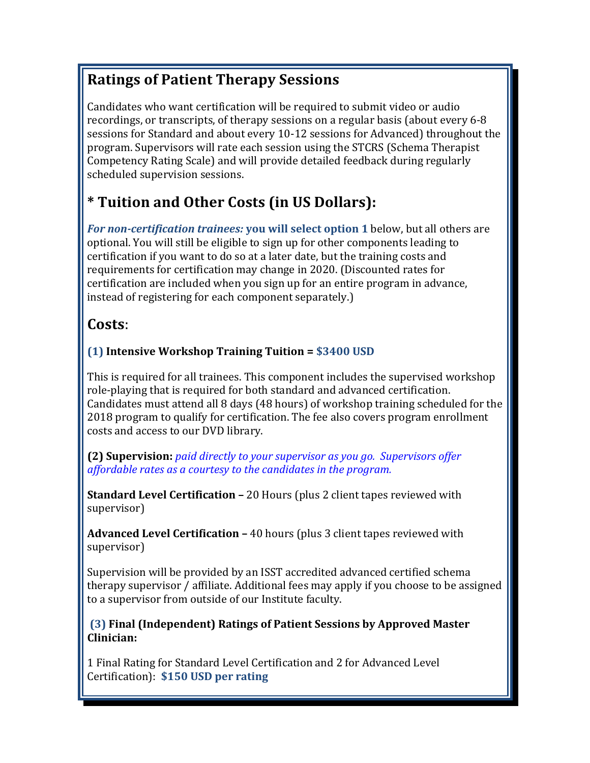## **Ratings of Patient Therapy Sessions**

Candidates who want certification will be required to submit video or audio recordings, or transcripts, of therapy sessions on a regular basis (about every 6-8) sessions for Standard and about every 10-12 sessions for Advanced) throughout the program. Supervisors will rate each session using the STCRS (Schema Therapist) Competency Rating Scale) and will provide detailed feedback during regularly scheduled supervision sessions.

# **\* Tuition and Other Costs (in US Dollars):**

*For non-certification trainees:* **you** will select option 1 below, but all others are optional. You will still be eligible to sign up for other components leading to certification if you want to do so at a later date, but the training costs and requirements for certification may change in 2020. (Discounted rates for certification are included when you sign up for an entire program in advance, instead of registering for each component separately.)

### **Costs**:

### **(1) Intensive Workshop Training Tuition = \$3400 USD**

This is required for all trainees. This component includes the supervised workshop role-playing that is required for both standard and advanced certification. Candidates must attend all 8 days (48 hours) of workshop training scheduled for the 2018 program to qualify for certification. The fee also covers program enrollment costs and access to our DVD library.

**(2) Supervision:** *paid directly to your supervisor as you go. Supervisors offer affordable rates as a courtesy to the candidates in the program.* 

**Standard Level Certification – 20 Hours (plus 2 client tapes reviewed with** supervisor) 

**Advanced Level Certification – 40 hours (plus 3 client tapes reviewed with** supervisor)

Supervision will be provided by an ISST accredited advanced certified schema therapy supervisor / affiliate. Additional fees may apply if you choose to be assigned to a supervisor from outside of our Institute faculty.

**(3) Final (Independent) Ratings of Patient Sessions by Approved Master Clinician:**

1 Final Rating for Standard Level Certification and 2 for Advanced Level Certification): **\$150 USD per rating**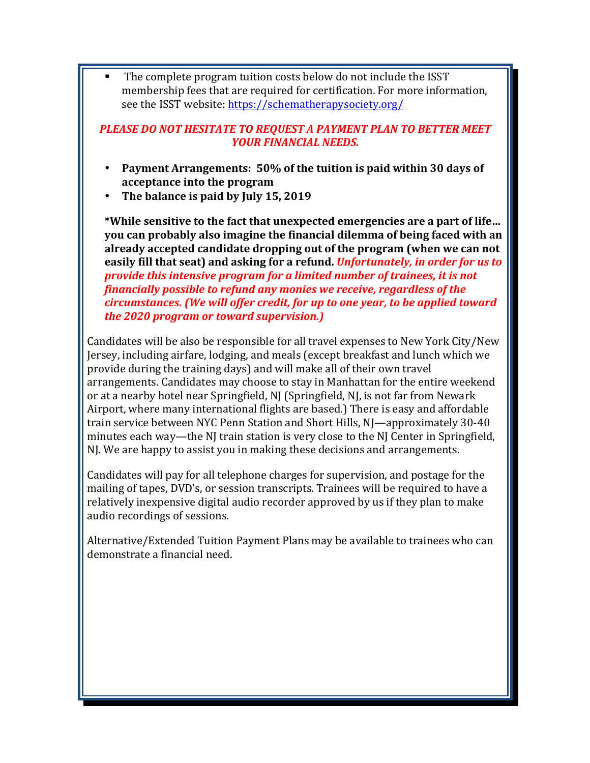The complete program tuition costs below do not include the ISST membership fees that are required for certification. For more information, see the ISST website: https://schematherapysociety.org/

#### **PLEASE DO NOT HESITATE TO REQUEST A PAYMENT PLAN TO BETTER MEET** YOUR FINANCIAL NEEDS.

- Payment Arrangements: 50% of the tuition is paid within 30 days of **acceptance into the program**
- The balance is paid by July 15, 2019

\*While sensitive to the fact that unexpected emergencies are a part of life... **you can probably also imagine the financial dilemma of being faced with an already accepted candidate dropping out of the program (when we can not easily fill that seat) and asking for a refund.** *Unfortunately, in order for us to provide this intensive program for a limited number of trainees, it is not financially possible to refund any monies we receive, regardless of the circumstances.* (We will offer credit, for up to one year, to be applied toward *the 2020 program or toward supervision.)* 

Candidates will be also be responsible for all travel expenses to New York City/New Jersey, including airfare, lodging, and meals (except breakfast and lunch which we provide during the training days) and will make all of their own travel arrangements. Candidates may choose to stay in Manhattan for the entire weekend or at a nearby hotel near Springfield, NJ (Springfield, NJ, is not far from Newark Airport, where many international flights are based.) There is easy and affordable train service between NYC Penn Station and Short Hills, NJ—approximately 30-40 minutes each way—the NJ train station is very close to the NJ Center in Springfield, NJ. We are happy to assist you in making these decisions and arrangements.

Candidates will pay for all telephone charges for supervision, and postage for the mailing of tapes, DVD's, or session transcripts. Trainees will be required to have a relatively inexpensive digital audio recorder approved by us if they plan to make audio recordings of sessions.

Alternative/Extended Tuition Payment Plans may be available to trainees who can demonstrate a financial need.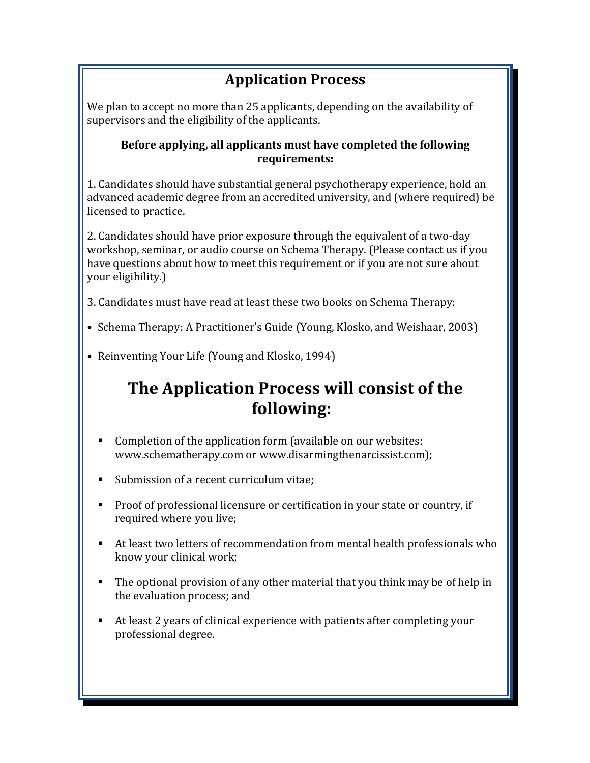## **Application Process**

We plan to accept no more than 25 applicants, depending on the availability of supervisors and the eligibility of the applicants.

#### **Before applying, all applicants must have completed the following requirements:**

1. Candidates should have substantial general psychotherapy experience, hold an advanced academic degree from an accredited university, and (where required) be licensed to practice.

2. Candidates should have prior exposure through the equivalent of a two-day workshop, seminar, or audio course on Schema Therapy. (Please contact us if you have questions about how to meet this requirement or if you are not sure about your eligibility.)

- 3. Candidates must have read at least these two books on Schema Therapy:
- Schema Therapy: A Practitioner's Guide (Young, Klosko, and Weishaar, 2003)
- Reinventing Your Life (Young and Klosko, 1994)

# The Application Process will consist of the following:

- Completion of the application form (available on our websites: www.schematherapy.com or www.disarmingthenarcissist.com);
- Submission of a recent curriculum vitae:
- Proof of professional licensure or certification in your state or country, if required where you live;
- At least two letters of recommendation from mental health professionals who know your clinical work;
- The optional provision of any other material that you think may be of help in the evaluation process; and
- At least 2 years of clinical experience with patients after completing your professional degree.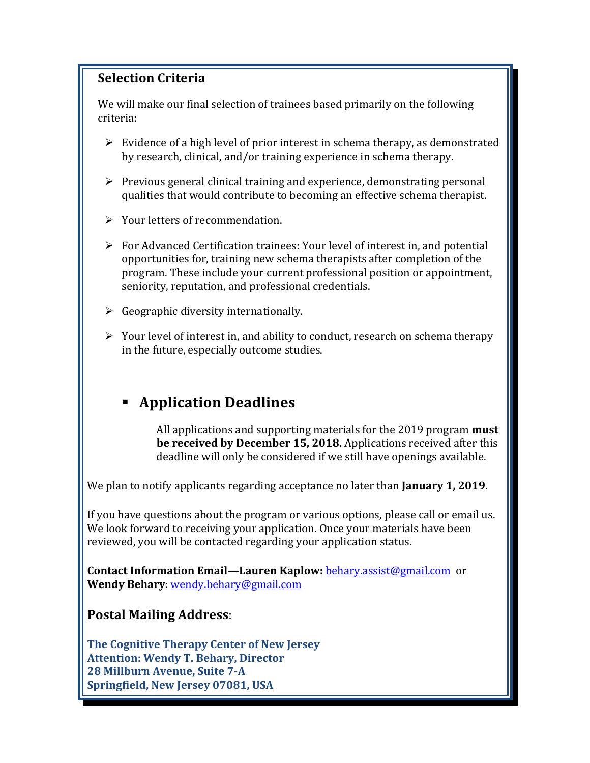#### **Selection Criteria**

We will make our final selection of trainees based primarily on the following criteria: 

- $\triangleright$  Evidence of a high level of prior interest in schema therapy, as demonstrated by research, clinical, and/or training experience in schema therapy.
- $\triangleright$  Previous general clinical training and experience, demonstrating personal qualities that would contribute to becoming an effective schema therapist.
- $\triangleright$  Your letters of recommendation.
- $\triangleright$  For Advanced Certification trainees: Your level of interest in, and potential opportunities for, training new schema therapists after completion of the program. These include your current professional position or appointment, seniority, reputation, and professional credentials.
- $\triangleright$  Geographic diversity internationally.
- $\triangleright$  Your level of interest in, and ability to conduct, research on schema therapy in the future, especially outcome studies.

## § **Application Deadlines**

All applications and supporting materials for the 2019 program **must be received by December 15, 2018.** Applications received after this deadline will only be considered if we still have openings available.

We plan to notify applicants regarding acceptance no later than **January 1, 2019**.

If you have questions about the program or various options, please call or email us. We look forward to receiving your application. Once your materials have been reviewed, you will be contacted regarding your application status.

**Contact Information Email—Lauren Kaplow:** behary.assist@gmail.com or Wendy Behary: wendy.behary@gmail.com

#### **Postal Mailing Address:**

**The Cognitive Therapy Center of New Jersey Attention: Wendy T. Behary, Director 28 Millburn Avenue, Suite 7-A Springfield, New Jersey 07081, USA**